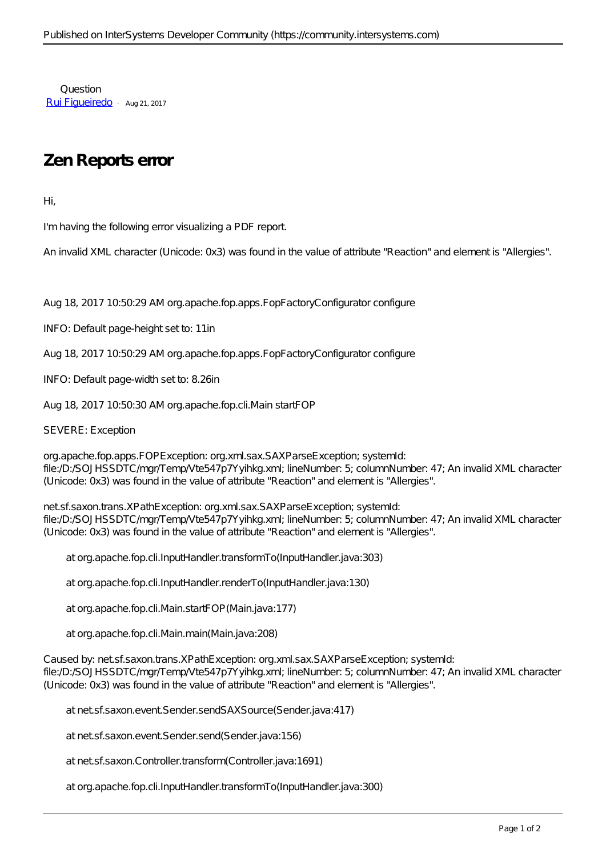Question [Rui Figueiredo](https://community.intersystems.com/user/rui-figueiredo) · Aug 21, 2017

## **Zen Reports error**

Hi,

I'm having the following error visualizing a PDF report.

An invalid XML character (Unicode: 0x3) was found in the value of attribute "Reaction" and element is "Allergies".

Aug 18, 2017 10:50:29 AM org.apache.fop.apps.FopFactoryConfigurator configure

INFO: Default page-height set to: 11in

Aug 18, 2017 10:50:29 AM org.apache.fop.apps.FopFactoryConfigurator configure

INFO: Default page-width set to: 8.26in

Aug 18, 2017 10:50:30 AM org.apache.fop.cli.Main startFOP

SEVERE: Exception

org.apache.fop.apps.FOPException: org.xml.sax.SAXParseException; systemId: file: D: SOJHSSDTC /mgr/Temp/Vte547p7Yyihkg.xml; lineNumber: 5; columnNumber: 47; An invalid XML character (Unicode: 0x3) was found in the value of attribute "Reaction" and element is "Allergies".

netsf.saxon.trans.XPathException: org.xml.sax.SAXParseException; systemId: file: $D:SOJHSSDTC/mar/Temb/Vt6547p7Yvihka.xml$ : lineNumber: 5; columnNumber: 47; An invalid XML character (Unicode: 0x3) was found in the value of attribute "Reaction" and element is "Allergies".

at org.apache.fop.cli.InputHandler.transformTo(InputHandler.java:303)

at org.apache.fop.cli.InputHandler.renderTo(InputHandler.java:130)

at org.apache.fop.cli.Main.startFOP(Main.java:177)

at org.apache.fop.cli.Main.main(Main.java:208)

Caused by: netsf.saxon.trans.XPathException: org.xml.sax.SAXParseException; systemId: file: D: SOJHSSDTC /mgr/Temp/Vte547p7Yyihkg.xml; lineNumber: 5; columnNumber: 47; An invalid XML character (Unicode: 0x3) was found in the value of attribute "Reaction" and element is "Allergies".

at netsf.saxon.eventSender.sendSAXSource(Sender.java:417)

at netsf.saxon.eventSender.send(Sender.java:156)

at netsf.saxon.Controller.transform(Controller.java:1691)

at org.apache.fop.cli.InputHandler.transformTo(InputHandler.java:300)